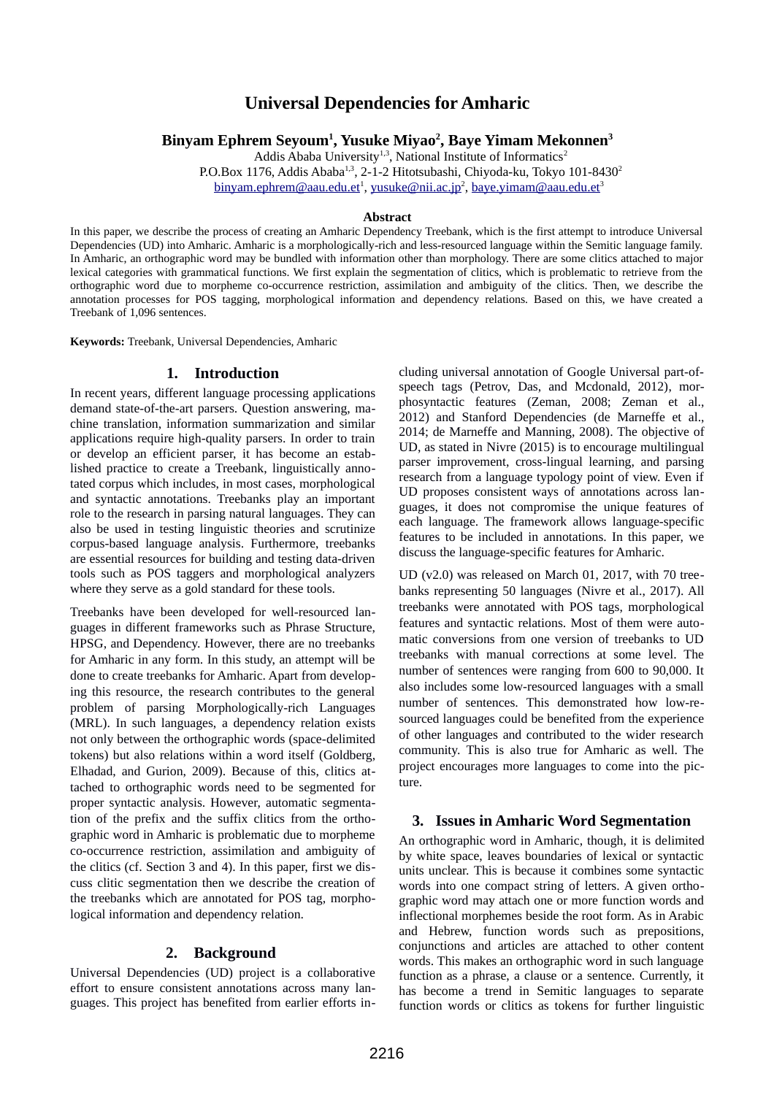# **Universal Dependencies for Amharic**

**Binyam Ephrem Seyoum<sup>1</sup> , Yusuke Miyao<sup>2</sup> , Baye Yimam Mekonnen<sup>3</sup>**

Addis Ababa University<sup>1,3</sup>, National Institute of Informatics<sup>2</sup>

P.O.Box 1176, Addis Ababa<sup>1,3</sup>, 2-1-2 Hitotsubashi, Chiyoda-ku, Tokyo 101-8430<sup>2</sup>

<u>[binyam.ephrem@aau.edu.et](mailto:binyam.ephrem@aau.edu.et)</u><sup>1</sup>, <u>yusuke@nii.ac.jp<sup>2</sup>, [baye.yimam@aau.edu.et](mailto:baye.yimam@aau.edu.et)</u><sup>3</sup>

#### **Abstract**

In this paper, we describe the process of creating an Amharic Dependency Treebank, which is the first attempt to introduce Universal Dependencies (UD) into Amharic. Amharic is a morphologically-rich and less-resourced language within the Semitic language family. In Amharic, an orthographic word may be bundled with information other than morphology. There are some clitics attached to major lexical categories with grammatical functions. We first explain the segmentation of clitics, which is problematic to retrieve from the orthographic word due to morpheme co-occurrence restriction, assimilation and ambiguity of the clitics. Then, we describe the annotation processes for POS tagging, morphological information and dependency relations. Based on this, we have created a Treebank of 1,096 sentences.

**Keywords:** Treebank, Universal Dependencies, Amharic

### **1. Introduction**

In recent years, different language processing applications demand state-of-the-art parsers. Question answering, machine translation, information summarization and similar applications require high-quality parsers. In order to train or develop an efficient parser, it has become an established practice to create a Treebank, linguistically annotated corpus which includes, in most cases, morphological and syntactic annotations. Treebanks play an important role to the research in parsing natural languages. They can also be used in testing linguistic theories and scrutinize corpus-based language analysis. Furthermore, treebanks are essential resources for building and testing data-driven tools such as POS taggers and morphological analyzers where they serve as a gold standard for these tools.

Treebanks have been developed for well-resourced languages in different frameworks such as Phrase Structure, HPSG, and Dependency. However, there are no treebanks for Amharic in any form. In this study, an attempt will be done to create treebanks for Amharic. Apart from developing this resource, the research contributes to the general problem of parsing Morphologically-rich Languages (MRL). In such languages, a dependency relation exists not only between the orthographic words (space-delimited tokens) but also relations within a word itself (Goldberg, Elhadad, and Gurion, 2009). Because of this, clitics attached to orthographic words need to be segmented for proper syntactic analysis. However, automatic segmentation of the prefix and the suffix clitics from the orthographic word in Amharic is problematic due to morpheme co-occurrence restriction, assimilation and ambiguity of the clitics (cf. Section 3 and 4). In this paper, first we discuss clitic segmentation then we describe the creation of the treebanks which are annotated for POS tag, morphological information and dependency relation.

### **2. Background**

Universal Dependencies (UD) project is a collaborative effort to ensure consistent annotations across many languages. This project has benefited from earlier efforts including universal annotation of Google Universal part-ofspeech tags (Petrov, Das, and Mcdonald, 2012), morphosyntactic features (Zeman, 2008; Zeman et al., 2012) and Stanford Dependencies (de Marneffe et al., 2014; de Marneffe and Manning, 2008). The objective of UD, as stated in Nivre (2015) is to encourage multilingual parser improvement, cross-lingual learning, and parsing research from a language typology point of view. Even if UD proposes consistent ways of annotations across languages, it does not compromise the unique features of each language. The framework allows language-specific features to be included in annotations. In this paper, we discuss the language-specific features for Amharic.

UD (v2.0) was released on March 01, 2017, with 70 treebanks representing 50 languages (Nivre et al., 2017). All treebanks were annotated with POS tags, morphological features and syntactic relations. Most of them were automatic conversions from one version of treebanks to UD treebanks with manual corrections at some level. The number of sentences were ranging from 600 to 90,000. It also includes some low-resourced languages with a small number of sentences. This demonstrated how low-resourced languages could be benefited from the experience of other languages and contributed to the wider research community. This is also true for Amharic as well. The project encourages more languages to come into the picture.

# **3. Issues in Amharic Word Segmentation**

An orthographic word in Amharic, though, it is delimited by white space, leaves boundaries of lexical or syntactic units unclear. This is because it combines some syntactic words into one compact string of letters. A given orthographic word may attach one or more function words and inflectional morphemes beside the root form. As in Arabic and Hebrew, function words such as prepositions, conjunctions and articles are attached to other content words. This makes an orthographic word in such language function as a phrase, a clause or a sentence. Currently, it has become a trend in Semitic languages to separate function words or clitics as tokens for further linguistic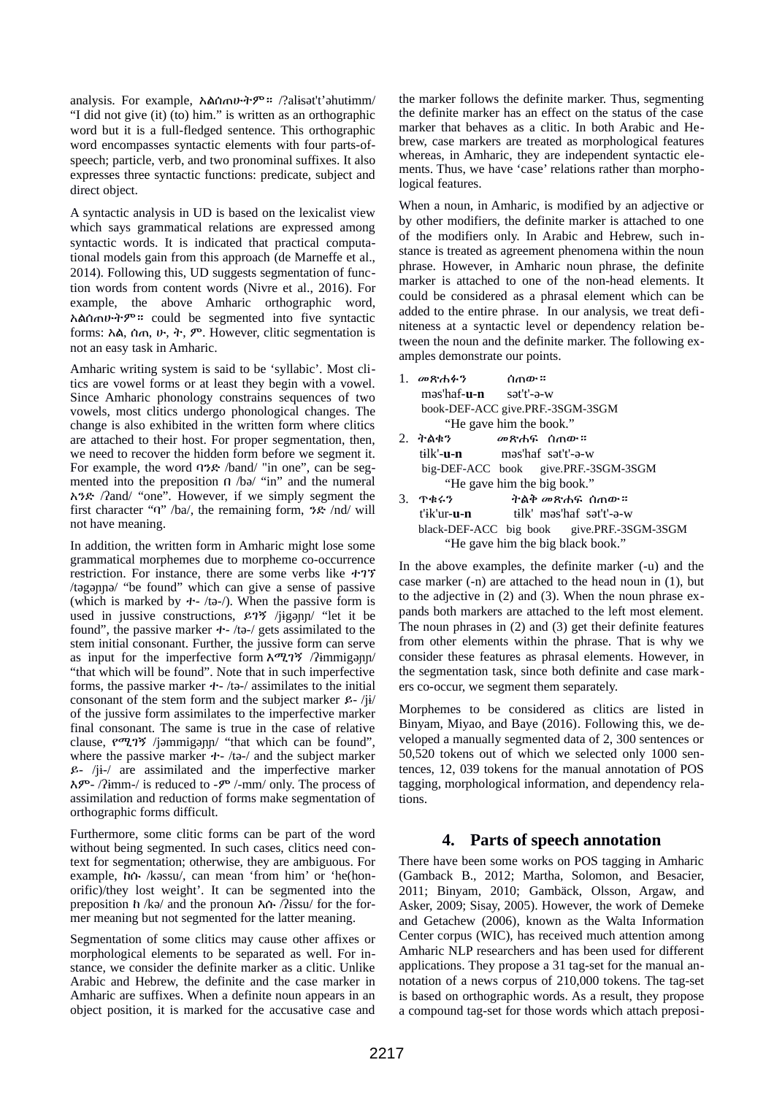analysis. For example, አልሰጠሁትም። /?alɨsət't'əhutɨmm/ "I did not give (it) (to) him." is written as an orthographic word but it is a full-fledged sentence. This orthographic word encompasses syntactic elements with four parts-ofspeech; particle, verb, and two pronominal suffixes. It also expresses three syntactic functions: predicate, subject and direct object.

A syntactic analysis in UD is based on the lexicalist view which says grammatical relations are expressed among syntactic words. It is indicated that practical computational models gain from this approach (de Marneffe et al., 2014). Following this, UD suggests segmentation of function words from content words (Nivre et al., 2016). For example, the above Amharic orthographic word, አልሰጠሁትም። could be segmented into five syntactic forms: አል, ሰጠ, ሁ, ት, ም. However, clitic segmentation is not an easy task in Amharic.

Amharic writing system is said to be 'syllabic'. Most clitics are vowel forms or at least they begin with a vowel. Since Amharic phonology constrains sequences of two vowels, most clitics undergo phonological changes. The change is also exhibited in the written form where clitics are attached to their host. For proper segmentation, then, we need to recover the hidden form before we segment it. For example, the word ባንድ /band/ "in one", can be segmented into the preposition በ /bə/ "in" and the numeral አንድ /ʔand/ "one". However, if we simply segment the first character "ባ" /ba/, the remaining form, ንድ /nd/ will not have meaning.

In addition, the written form in Amharic might lose some grammatical morphemes due to morpheme co-occurrence restriction. For instance, there are some verbs like ተገኘ /təgəɲɲə/ "be found" which can give a sense of passive (which is marked by  $+$ -/tə-/). When the passive form is used in jussive constructions, ይገኝ /jɨgəɲɲ/ "let it be found", the passive marker ተ- /tə-/ gets assimilated to the stem initial consonant. Further, the jussive form can serve as input for the imperfective form እሚገኝ /ʔɨmmigəɲɲ/ "that which will be found". Note that in such imperfective forms, the passive marker  $+$ -/tə-/ assimilates to the initial consonant of the stem form and the subject marker  $\mathcal{L}$  - /ji/ of the jussive form assimilates to the imperfective marker final consonant. The same is true in the case of relative clause, የሚገኝ /jəmmigəɲɲ/ "that which can be found", where the passive marker ተ- /tə-/ and the subject marker ይ- /jɨ-/ are assimilated and the imperfective marker እም- /ʔɨmm-/ is reduced to -ም /-mm/ only. The process of assimilation and reduction of forms make segmentation of orthographic forms difficult.

Furthermore, some clitic forms can be part of the word without being segmented. In such cases, clitics need context for segmentation; otherwise, they are ambiguous. For example, ከሱ /kəssu/, can mean 'from him' or 'he(honorific)/they lost weight'. It can be segmented into the preposition ከ /kə/ and the pronoun እሱ /ʔɨssu/ for the former meaning but not segmented for the latter meaning.

Segmentation of some clitics may cause other affixes or morphological elements to be separated as well. For instance, we consider the definite marker as a clitic. Unlike Arabic and Hebrew, the definite and the case marker in Amharic are suffixes. When a definite noun appears in an object position, it is marked for the accusative case and the marker follows the definite marker. Thus, segmenting the definite marker has an effect on the status of the case marker that behaves as a clitic. In both Arabic and Hebrew, case markers are treated as morphological features whereas, in Amharic, they are independent syntactic elements. Thus, we have 'case' relations rather than morphological features.

When a noun, in Amharic, is modified by an adjective or by other modifiers, the definite marker is attached to one of the modifiers only. In Arabic and Hebrew, such instance is treated as agreement phenomena within the noun phrase. However, in Amharic noun phrase, the definite marker is attached to one of the non-head elements. It could be considered as a phrasal element which can be added to the entire phrase. In our analysis, we treat definiteness at a syntactic level or dependency relation between the noun and the definite marker. The following examples demonstrate our points.

| 1. መጽሐፉን       ሰጠው።                        |                                              |  |  |  |  |  |
|--------------------------------------------|----------------------------------------------|--|--|--|--|--|
| məs'haf- <b>u-n</b> sət't'-ə-w             |                                              |  |  |  |  |  |
| book-DEF-ACC give.PRF.-3SGM-3SGM           |                                              |  |  |  |  |  |
| "He gave him the book."                    |                                              |  |  |  |  |  |
|                                            | 2. ትልቂን <i>መ</i> ጽሐፍ ሰ <sub>ጣ</sub> ው።       |  |  |  |  |  |
|                                            | tilk'- <b>u-n</b> məs'haf sət't'-ə-w         |  |  |  |  |  |
| big-DEF-ACC book give.PRF.-3SGM-3SGM       |                                              |  |  |  |  |  |
| "He gave him the big book."                |                                              |  |  |  |  |  |
| 3.743                                      | ትልቅ መጽሐፍ ሰ <sub>ጠ</sub> ው።                   |  |  |  |  |  |
|                                            | t'ik'ur <b>-u-n</b> tilk' məs'haf sət't'-ə-w |  |  |  |  |  |
| black-DEF-ACC big book give.PRF.-3SGM-3SGM |                                              |  |  |  |  |  |
| "He gave him the big black book."          |                                              |  |  |  |  |  |

In the above examples, the definite marker (-u) and the case marker (-n) are attached to the head noun in (1), but to the adjective in (2) and (3). When the noun phrase expands both markers are attached to the left most element. The noun phrases in (2) and (3) get their definite features from other elements within the phrase. That is why we consider these features as phrasal elements. However, in the segmentation task, since both definite and case markers co-occur, we segment them separately.

Morphemes to be considered as clitics are listed in Binyam, Miyao, and Baye (2016). Following this, we developed a manually segmented data of 2, 300 sentences or 50,520 tokens out of which we selected only 1000 sentences, 12, 039 tokens for the manual annotation of POS tagging, morphological information, and dependency relations.

# **4. Parts of speech annotation**

There have been some works on POS tagging in Amharic (Gamback B., 2012; Martha, Solomon, and Besacier, 2011; Binyam, 2010; Gambäck, Olsson, Argaw, and Asker, 2009; Sisay, 2005). However, the work of Demeke and Getachew (2006), known as the Walta Information Center corpus (WIC), has received much attention among Amharic NLP researchers and has been used for different applications. They propose a 31 tag-set for the manual annotation of a news corpus of 210,000 tokens. The tag-set is based on orthographic words. As a result, they propose a compound tag-set for those words which attach preposi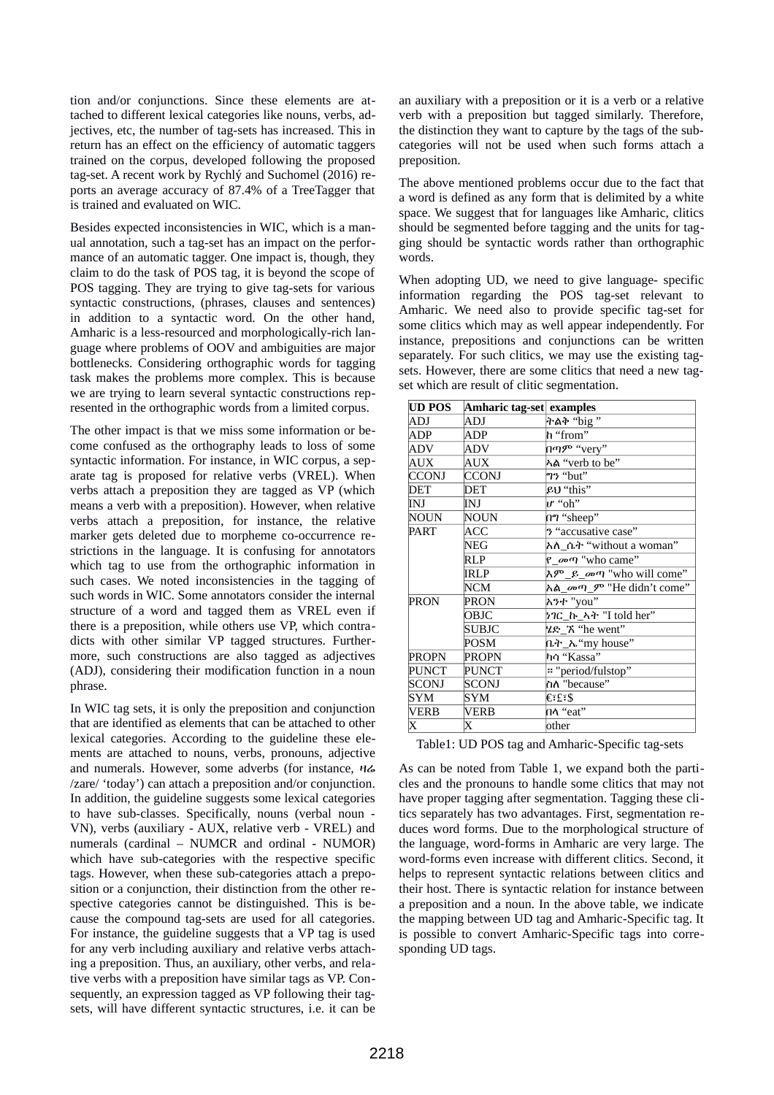tion and/or conjunctions. Since these elements are attached to different lexical categories like nouns, verbs, adjectives, etc, the number of tag-sets has increased. This in return has an effect on the efficiency of automatic taggers trained on the corpus, developed following the proposed tag-set. A recent work by Rychlý and Suchomel (2016) reports an average accuracy of 87.4% of a TreeTagger that is trained and evaluated on WIC.

Besides expected inconsistencies in WIC, which is a manual annotation, such a tag-set has an impact on the performance of an automatic tagger. One impact is, though, they claim to do the task of POS tag, it is beyond the scope of POS tagging. They are trying to give tag-sets for various syntactic constructions, (phrases, clauses and sentences) in addition to a syntactic word. On the other hand, Amharic is a less-resourced and morphologically-rich language where problems of OOV and ambiguities are major bottlenecks. Considering orthographic words for tagging task makes the problems more complex. This is because we are trying to learn several syntactic constructions represented in the orthographic words from a limited corpus.

The other impact is that we miss some information or become confused as the orthography leads to loss of some syntactic information. For instance, in WIC corpus, a separate tag is proposed for relative verbs (VREL). When verbs attach a preposition they are tagged as VP (which means a verb with a preposition). However, when relative verbs attach a preposition, for instance, the relative marker gets deleted due to morpheme co-occurrence restrictions in the language. It is confusing for annotators which tag to use from the orthographic information in such cases. We noted inconsistencies in the tagging of such words in WIC. Some annotators consider the internal structure of a word and tagged them as VREL even if there is a preposition, while others use VP, which contradicts with other similar VP tagged structures. Furthermore, such constructions are also tagged as adjectives (ADJ), considering their modification function in a noun phrase.

In WIC tag sets, it is only the preposition and conjunction that are identified as elements that can be attached to other lexical categories. According to the guideline these elements are attached to nouns, verbs, pronouns, adjective and numerals. However, some adverbs (for instance, ዛሬ /zare/ 'today') can attach a preposition and/or conjunction. In addition, the guideline suggests some lexical categories to have sub-classes. Specifically, nouns (verbal noun - VN), verbs (auxiliary - AUX, relative verb - VREL) and numerals (cardinal – NUMCR and ordinal - NUMOR) which have sub-categories with the respective specific tags. However, when these sub-categories attach a preposition or a conjunction, their distinction from the other respective categories cannot be distinguished. This is because the compound tag-sets are used for all categories. For instance, the guideline suggests that a VP tag is used for any verb including auxiliary and relative verbs attaching a preposition. Thus, an auxiliary, other verbs, and relative verbs with a preposition have similar tags as VP. Consequently, an expression tagged as VP following their tagsets, will have different syntactic structures, i.e. it can be an auxiliary with a preposition or it is a verb or a relative verb with a preposition but tagged similarly. Therefore, the distinction they want to capture by the tags of the subcategories will not be used when such forms attach a preposition.

The above mentioned problems occur due to the fact that a word is defined as any form that is delimited by a white space. We suggest that for languages like Amharic, clitics should be segmented before tagging and the units for tagging should be syntactic words rather than orthographic words.

When adopting UD, we need to give language- specific information regarding the POS tag-set relevant to Amharic. We need also to provide specific tag-set for some clitics which may as well appear independently. For instance, prepositions and conjunctions can be written separately. For such clitics, we may use the existing tagsets. However, there are some clitics that need a new tagset which are result of clitic segmentation.

| UD POS<br>Amharic tag-set examples |       |                                         |  |
|------------------------------------|-------|-----------------------------------------|--|
| ADJ                                | ADJ   | ትልቅ "big "                              |  |
| ADP                                | ADP   | h "from"                                |  |
| ADV                                | ADV   | በጣም "very"                              |  |
| AUX                                | AUX   | ኣል "verb to be"                         |  |
| CCONJ                              | CCONJ | <b>ๆ? "</b> but"                        |  |
| <b>DET</b>                         | DET   | ይህ "this"                               |  |
| INJ                                | INJ   | <i>u</i> "oh"                           |  |
| NOUN                               | NOUN  | กๆ "sheep"                              |  |
| PART                               | ACC   | 3 "accusative case"                     |  |
|                                    | NEG   | እለ ሴት "without a woman"                 |  |
|                                    | RLP   | የ_መጣ "who came"                         |  |
|                                    | IRLP  | እም ይ መጣ "who will come"                 |  |
|                                    | NCM   | እል <i>መ</i> ጣ <i>ም</i> "He didn't come" |  |
| PRON                               | PRON  | እንተ "you"                               |  |
|                                    | OBJC  | ነገር_ኩ_ኣት "I told her"                   |  |
|                                    | SUBJC | ሄድ_ኧ "he went"                          |  |
|                                    | POSM  | ቤት_ኤ"my house"                          |  |
| <b>PROPN</b>                       | PROPN | ካሳ "Kassa"                              |  |
| <b>PUNCT</b>                       | PUNCT | " "period/fulstop"                      |  |
| SCONJ                              | SCONJ | ስለ "because"                            |  |
| SYM                                | SYM   | €∶£∶\$                                  |  |
| VERB                               | VERB  | በላ "eat"                                |  |
| X                                  | X     | other                                   |  |

Table1: UD POS tag and Amharic-Specific tag-sets

As can be noted from Table 1, we expand both the particles and the pronouns to handle some clitics that may not have proper tagging after segmentation. Tagging these clitics separately has two advantages. First, segmentation reduces word forms. Due to the morphological structure of the language, word-forms in Amharic are very large. The word-forms even increase with different clitics. Second, it helps to represent syntactic relations between clitics and their host. There is syntactic relation for instance between a preposition and a noun. In the above table, we indicate the mapping between UD tag and Amharic-Specific tag. It is possible to convert Amharic-Specific tags into corresponding UD tags.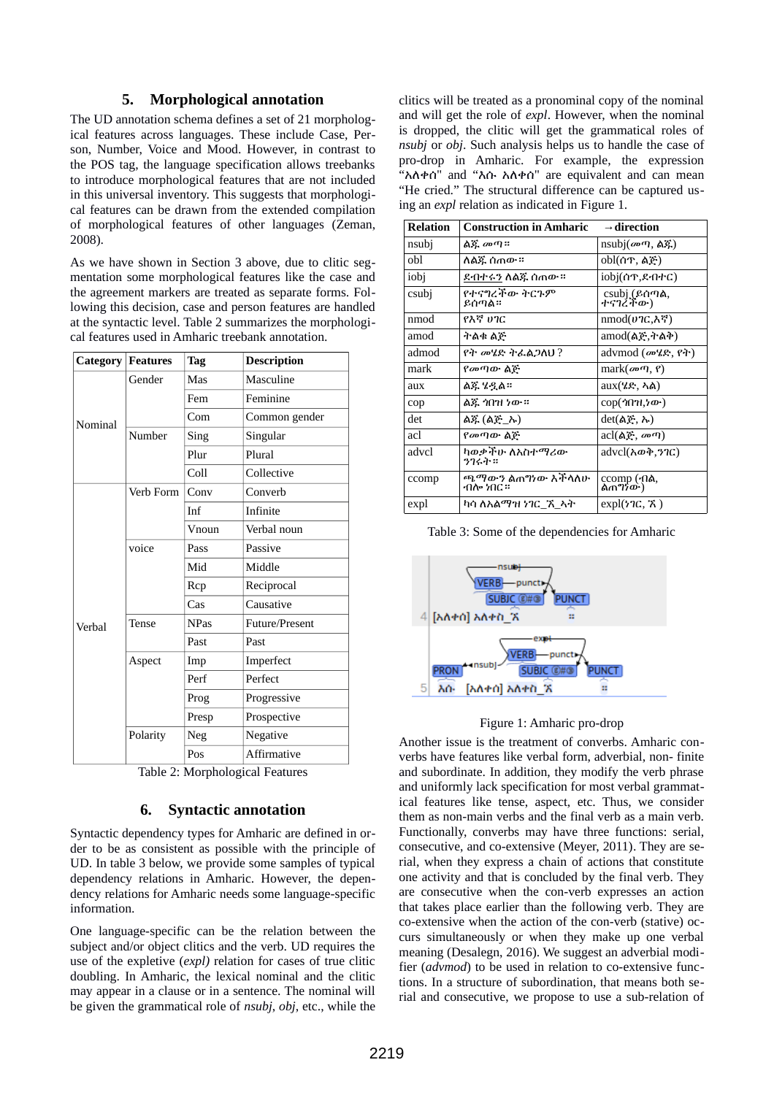# **5. Morphological annotation**

The UD annotation schema defines a set of 21 morphological features across languages. These include Case, Person, Number, Voice and Mood. However, in contrast to the POS tag, the language specification allows treebanks to introduce morphological features that are not included in this universal inventory. This suggests that morphological features can be drawn from the extended compilation of morphological features of other languages (Zeman, 2008).

As we have shown in Section 3 above, due to clitic segmentation some morphological features like the case and the agreement markers are treated as separate forms. Following this decision, case and person features are handled at the syntactic level. Table 2 summarizes the morphological features used in Amharic treebank annotation.

|         | <b>Category Features</b> | <b>Tag</b>  | <b>Description</b> |
|---------|--------------------------|-------------|--------------------|
|         | Gender                   | Mas         | Masculine          |
|         |                          | Fem         | Feminine           |
| Nominal |                          | Com         | Common gender      |
|         | Number                   | Sing        | Singular           |
|         |                          | Plur        | Plural             |
|         |                          | Coll        | Collective         |
|         | Verb Form                | Conv        | Converb            |
|         |                          | Inf         | Infinite           |
|         |                          | Vnoun       | Verbal noun        |
|         | voice                    | Pass        | Passive            |
|         |                          | Mid         | Middle             |
|         |                          | Rcp         | Reciprocal         |
|         |                          | Cas         | Causative          |
| Verbal  | Tense                    | <b>NPas</b> | Future/Present     |
|         |                          | Past        | Past               |
|         | Aspect                   | Imp         | Imperfect          |
|         |                          | Perf        | Perfect            |
|         |                          | Prog        | Progressive        |
|         |                          | Presp       | Prospective        |
|         | Polarity                 | Neg         | Negative           |
|         |                          | Pos         | Affirmative        |

Table 2: Morphological Features

# **6. Syntactic annotation**

Syntactic dependency types for Amharic are defined in order to be as consistent as possible with the principle of UD. In table 3 below, we provide some samples of typical dependency relations in Amharic. However, the dependency relations for Amharic needs some language-specific information.

One language-specific can be the relation between the subject and/or object clitics and the verb. UD requires the use of the expletive (*expl)* relation for cases of true clitic doubling. In Amharic, the lexical nominal and the clitic may appear in a clause or in a sentence. The nominal will be given the grammatical role of *nsubj*, *obj*, etc., while the clitics will be treated as a pronominal copy of the nominal and will get the role of *expl*. However, when the nominal is dropped, the clitic will get the grammatical roles of *nsubj* or *obj*. Such analysis helps us to handle the case of pro-drop in Amharic. For example, the expression "አለቀሰ" and "እሱ አለቀሰ" are equivalent and can mean "He cried." The structural difference can be captured using an *expl* relation as indicated in Figure 1.

| <b>Relation</b> | <b>Construction in Amharic</b>               | $\rightarrow$ direction          |
|-----------------|----------------------------------------------|----------------------------------|
| nsubj           | ልጁ መጣ።                                       | nsubj $(m \eta, \Delta \xi)$     |
| obl             | ለልጁ ሰጠው ።                                    | obl(ሰጥ, ልጅ)                      |
| iobj            | ደብተሩን ለልጁ ሰጠው።                               | iobj(ሰጥ,ደብተር)                    |
| csubj           | የተናግረችው ትርጉም<br>ይሰጣል።                        | csubj (ይሰጣል,<br>ተናገረቸው)          |
| nmod            | የእኛ ሀገር                                      | nmod( <i>ህገ</i> ር,እኛ)            |
| amod            | ትልቁ ልጅ                                       | amod(ልጅ,ትልቅ)                     |
| admod           | <i>የት መሄድ ትፌ</i> ልጋለህ ?                      | advmod ( <i>መሄድ</i> , የት)        |
| mark            | <i>የመ</i> ጣው ልጅ                              | mark $(\omega$ $\eta$ , $\eta$ ) |
| aux             | ልጁ ሄዷል።                                      | aux(ሄድ, ኣል)                      |
| cop             | ልጁ 'ነበ'ዝ ነው።                                 | cop( <i>ጎ</i> በንዚ <i>ነ</i> ው)    |
| det             | ልጁ (ልጅ_ኡ)                                    | $det(A\xi, \lambda)$             |
| acl             | <i>የመ</i> ጣው ልጅ                              | acl(ልጅ, መጣ)                      |
| advcl           | ካወቃችሁ ለአስተማሪው<br>うつくふ ::                     | advcl(አወቅ,ንገር)                   |
| ccomp           | ጫ <i>ማውን</i> ልጠግነው እችላለሁ<br>ብ <b>ሎ ነበር ።</b> | ccomp (ብል,<br>ልጠግንው)             |
| expl            | ካሳ ለእልማዝ ነገር <i>ኙ</i> ኣት                     | expl(ነገር, ኧ)                     |

Table 3: Some of the dependencies for Amharic



### Figure 1: Amharic pro-drop

Another issue is the treatment of converbs. Amharic converbs have features like verbal form, adverbial, non- finite and subordinate. In addition, they modify the verb phrase and uniformly lack specification for most verbal grammatical features like tense, aspect, etc. Thus, we consider them as non-main verbs and the final verb as a main verb. Functionally, converbs may have three functions: serial, consecutive, and co-extensive (Meyer, 2011). They are serial, when they express a chain of actions that constitute one activity and that is concluded by the final verb. They are consecutive when the con-verb expresses an action that takes place earlier than the following verb. They are co-extensive when the action of the con-verb (stative) occurs simultaneously or when they make up one verbal meaning (Desalegn, 2016). We suggest an adverbial modifier (*advmod*) to be used in relation to co-extensive functions. In a structure of subordination, that means both serial and consecutive, we propose to use a sub-relation of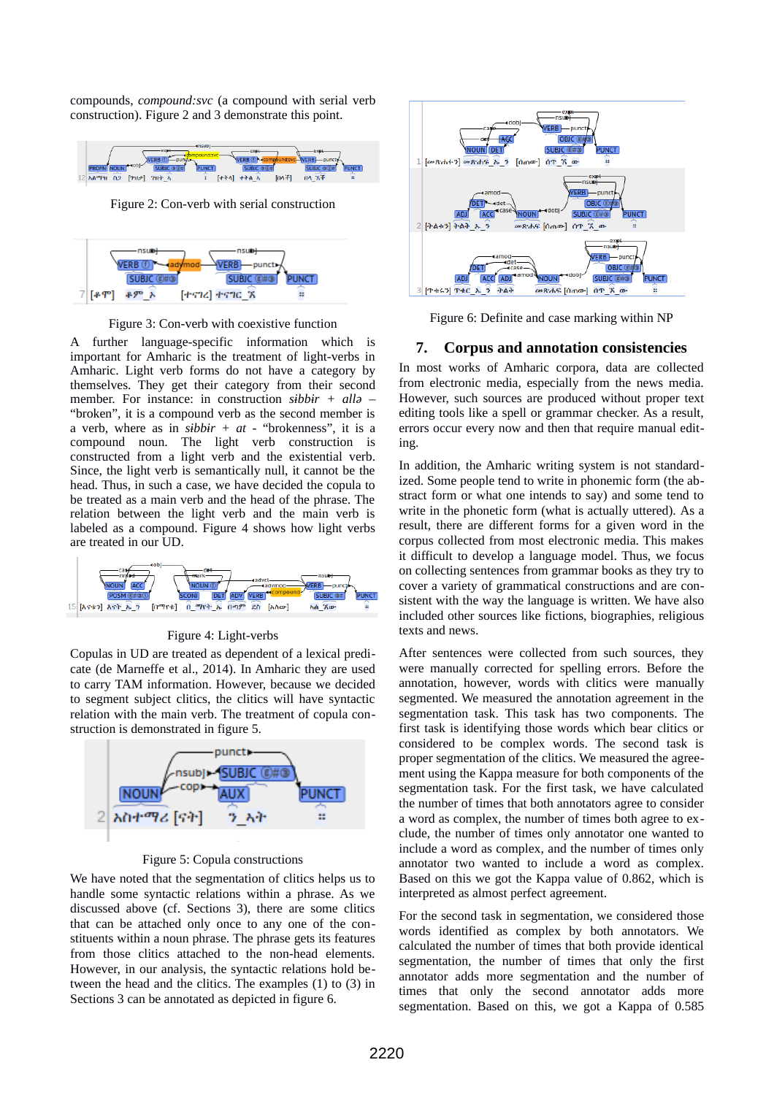compounds, *compound:svc* (a compound with serial verb construction). Figure 2 and 3 demonstrate this point.



Figure 2: Con-verb with serial construction



Figure 3: Con-verb with coexistive function

A further language-specific information which is important for Amharic is the treatment of light-verbs in Amharic. Light verb forms do not have a category by themselves. They get their category from their second member. For instance: in construction *sɨbbɨr + allə* – "broken", it is a compound verb as the second member is a verb, where as in *sɨbbɨr + at* - "brokenness", it is a compound noun. The light verb construction is constructed from a light verb and the existential verb. Since, the light verb is semantically null, it cannot be the head. Thus, in such a case, we have decided the copula to be treated as a main verb and the head of the phrase. The relation between the light verb and the main verb is labeled as a compound. Figure 4 shows how light verbs are treated in our UD.



Figure 4: Light-verbs

Copulas in UD are treated as dependent of a lexical predicate (de Marneffe et al., 2014). In Amharic they are used to carry TAM information. However, because we decided to segment subject clitics, the clitics will have syntactic relation with the main verb. The treatment of copula construction is demonstrated in figure 5.



Figure 5: Copula constructions

We have noted that the segmentation of clitics helps us to handle some syntactic relations within a phrase. As we discussed above (cf. Sections 3), there are some clitics that can be attached only once to any one of the constituents within a noun phrase. The phrase gets its features from those clitics attached to the non-head elements. However, in our analysis, the syntactic relations hold between the head and the clitics. The examples (1) to (3) in Sections 3 can be annotated as depicted in figure 6.



Figure 6: Definite and case marking within NP

# **7. Corpus and annotation consistencies**

In most works of Amharic corpora, data are collected from electronic media, especially from the news media. However, such sources are produced without proper text editing tools like a spell or grammar checker. As a result, errors occur every now and then that require manual editing.

In addition, the Amharic writing system is not standardized. Some people tend to write in phonemic form (the abstract form or what one intends to say) and some tend to write in the phonetic form (what is actually uttered). As a result, there are different forms for a given word in the corpus collected from most electronic media. This makes it difficult to develop a language model. Thus, we focus on collecting sentences from grammar books as they try to cover a variety of grammatical constructions and are consistent with the way the language is written. We have also included other sources like fictions, biographies, religious texts and news.

After sentences were collected from such sources, they were manually corrected for spelling errors. Before the annotation, however, words with clitics were manually segmented. We measured the annotation agreement in the segmentation task. This task has two components. The first task is identifying those words which bear clitics or considered to be complex words. The second task is proper segmentation of the clitics. We measured the agreement using the Kappa measure for both components of the segmentation task. For the first task, we have calculated the number of times that both annotators agree to consider a word as complex, the number of times both agree to exclude, the number of times only annotator one wanted to include a word as complex, and the number of times only annotator two wanted to include a word as complex. Based on this we got the Kappa value of 0.862, which is interpreted as almost perfect agreement.

For the second task in segmentation, we considered those words identified as complex by both annotators. We calculated the number of times that both provide identical segmentation, the number of times that only the first annotator adds more segmentation and the number of times that only the second annotator adds more segmentation. Based on this, we got a Kappa of 0.585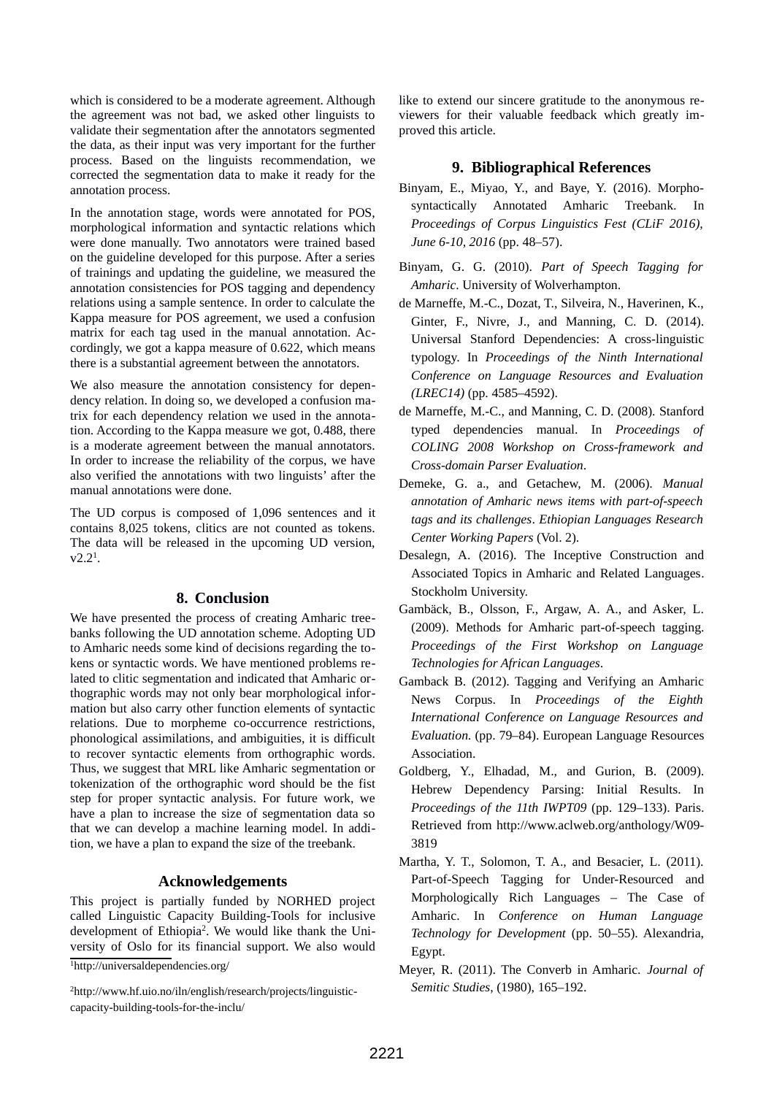which is considered to be a moderate agreement. Although the agreement was not bad, we asked other linguists to validate their segmentation after the annotators segmented the data, as their input was very important for the further process. Based on the linguists recommendation, we corrected the segmentation data to make it ready for the annotation process.

In the annotation stage, words were annotated for POS, morphological information and syntactic relations which were done manually. Two annotators were trained based on the guideline developed for this purpose. After a series of trainings and updating the guideline, we measured the annotation consistencies for POS tagging and dependency relations using a sample sentence. In order to calculate the Kappa measure for POS agreement, we used a confusion matrix for each tag used in the manual annotation. Accordingly, we got a kappa measure of 0.622, which means there is a substantial agreement between the annotators.

We also measure the annotation consistency for dependency relation. In doing so, we developed a confusion matrix for each dependency relation we used in the annotation. According to the Kappa measure we got, 0.488, there is a moderate agreement between the manual annotators. In order to increase the reliability of the corpus, we have also verified the annotations with two linguists' after the manual annotations were done.

The UD corpus is composed of 1,096 sentences and it contains 8,025 tokens, clitics are not counted as tokens. The data will be released in the upcoming UD version,  $v2.2<sup>1</sup>$  $v2.2<sup>1</sup>$  $v2.2<sup>1</sup>$ .

# **8. Conclusion**

We have presented the process of creating Amharic treebanks following the UD annotation scheme. Adopting UD to Amharic needs some kind of decisions regarding the tokens or syntactic words. We have mentioned problems related to clitic segmentation and indicated that Amharic orthographic words may not only bear morphological information but also carry other function elements of syntactic relations. Due to morpheme co-occurrence restrictions, phonological assimilations, and ambiguities, it is difficult to recover syntactic elements from orthographic words. Thus, we suggest that MRL like Amharic segmentation or tokenization of the orthographic word should be the fist step for proper syntactic analysis. For future work, we have a plan to increase the size of segmentation data so that we can develop a machine learning model. In addition, we have a plan to expand the size of the treebank.

### **Acknowledgements**

This project is partially funded by NORHED project called Linguistic Capacity Building-Tools for inclusive development of Ethiopia<sup>[2](#page-5-1)</sup>. We would like thank the University of Oslo for its financial support. We also would

<span id="page-5-0"></span><sup>1</sup>http://universaldependencies.org/

<span id="page-5-1"></span>2http://www.hf.uio.no/iln/english/research/projects/linguisticcapacity-building-tools-for-the-inclu/

like to extend our sincere gratitude to the anonymous reviewers for their valuable feedback which greatly improved this article.

# **9. Bibliographical References**

- Binyam, E., Miyao, Y., and Baye, Y. (2016). Morphosyntactically Annotated Amharic Treebank. In *Proceedings of Corpus Linguistics Fest (CLiF 2016), June 6-10, 2016* (pp. 48–57).
- Binyam, G. G. (2010). *Part of Speech Tagging for Amharic*. University of Wolverhampton.
- de Marneffe, M.-C., Dozat, T., Silveira, N., Haverinen, K., Ginter, F., Nivre, J., and Manning, C. D. (2014). Universal Stanford Dependencies: A cross-linguistic typology. In *Proceedings of the Ninth International Conference on Language Resources and Evaluation (LREC14)* (pp. 4585–4592).
- de Marneffe, M.-C., and Manning, C. D. (2008). Stanford typed dependencies manual. In *Proceedings of COLING 2008 Workshop on Cross-framework and Cross-domain Parser Evaluation*.
- Demeke, G. a., and Getachew, M. (2006). *Manual annotation of Amharic news items with part-of-speech tags and its challenges*. *Ethiopian Languages Research Center Working Papers* (Vol. 2).
- Desalegn, A. (2016). The Inceptive Construction and Associated Topics in Amharic and Related Languages. Stockholm University.
- Gambäck, B., Olsson, F., Argaw, A. A., and Asker, L. (2009). Methods for Amharic part-of-speech tagging. *Proceedings of the First Workshop on Language Technologies for African Languages*.
- Gamback B. (2012). Tagging and Verifying an Amharic News Corpus. In *Proceedings of the Eighth International Conference on Language Resources and Evaluation.* (pp. 79–84). European Language Resources Association.
- Goldberg, Y., Elhadad, M., and Gurion, B. (2009). Hebrew Dependency Parsing: Initial Results. In *Proceedings of the 11th IWPT09* (pp. 129–133). Paris. Retrieved from http://www.aclweb.org/anthology/W09- 3819
- Martha, Y. T., Solomon, T. A., and Besacier, L. (2011). Part-of-Speech Tagging for Under-Resourced and Morphologically Rich Languages – The Case of Amharic. In *Conference on Human Language Technology for Development* (pp. 50–55). Alexandria, Egypt.
- Meyer, R. (2011). The Converb in Amharic. *Journal of Semitic Studies*, (1980), 165–192.